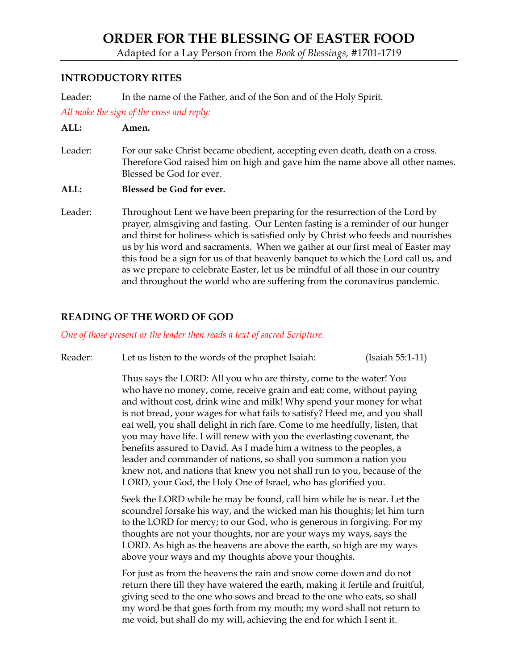# **ORDER FOR THE BLESSING OF EASTER FOOD**

Adapted for a Lay Person from the *Book of Blessings,* #1701-1719

### **INTRODUCTORY RITES**

Leader: In the name of the Father, and of the Son and of the Holy Spirit.

*All make the sign of the cross and reply:*

### **ALL: Amen.**

Leader: For our sake Christ became obedient, accepting even death, death on a cross. Therefore God raised him on high and gave him the name above all other names. Blessed be God for ever.

#### **ALL: Blessed be God for ever.**

Leader: Throughout Lent we have been preparing for the resurrection of the Lord by prayer, almsgiving and fasting. Our Lenten fasting is a reminder of our hunger and thirst for holiness which is satisfied only by Christ who feeds and nourishes us by his word and sacraments. When we gather at our first meal of Easter may this food be a sign for us of that heavenly banquet to which the Lord call us, and as we prepare to celebrate Easter, let us be mindful of all those in our country and throughout the world who are suffering from the coronavirus pandemic.

## **READING OF THE WORD OF GOD**

#### *One of those present or the leader then reads a text of sacred Scripture.*

Reader: Let us listen to the words of the prophet Isaiah: (Isaiah 55:1-11)

Thus says the LORD: All you who are thirsty, come to the water! You who have no money, come, receive grain and eat; come, without paying and without cost, drink wine and milk! Why spend your money for what is not bread, your wages for what fails to satisfy? Heed me, and you shall eat well, you shall delight in rich fare. Come to me heedfully, listen, that you may have life. I will renew with you the everlasting covenant, the benefits assured to David. As I made him a witness to the peoples, a leader and commander of nations, so shall you summon a nation you knew not, and nations that knew you not shall run to you, because of the LORD, your God, the Holy One of Israel, who has glorified you.

Seek the LORD while he may be found, call him while he is near. Let the scoundrel forsake his way, and the wicked man his thoughts; let him turn to the LORD for mercy; to our God, who is generous in forgiving. For my thoughts are not your thoughts, nor are your ways my ways, says the LORD. As high as the heavens are above the earth, so high are my ways above your ways and my thoughts above your thoughts.

For just as from the heavens the rain and snow come down and do not return there till they have watered the earth, making it fertile and fruitful, giving seed to the one who sows and bread to the one who eats, so shall my word be that goes forth from my mouth; my word shall not return to me void, but shall do my will, achieving the end for which I sent it.